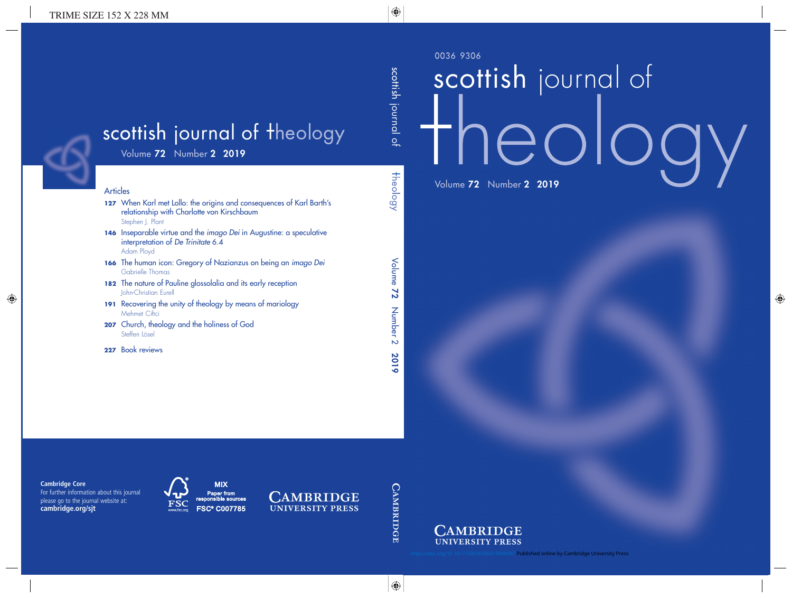0036 9306

# scottish journal of theok Volume 72 Number 2 2019



**97 Published online by Cambridge University Press**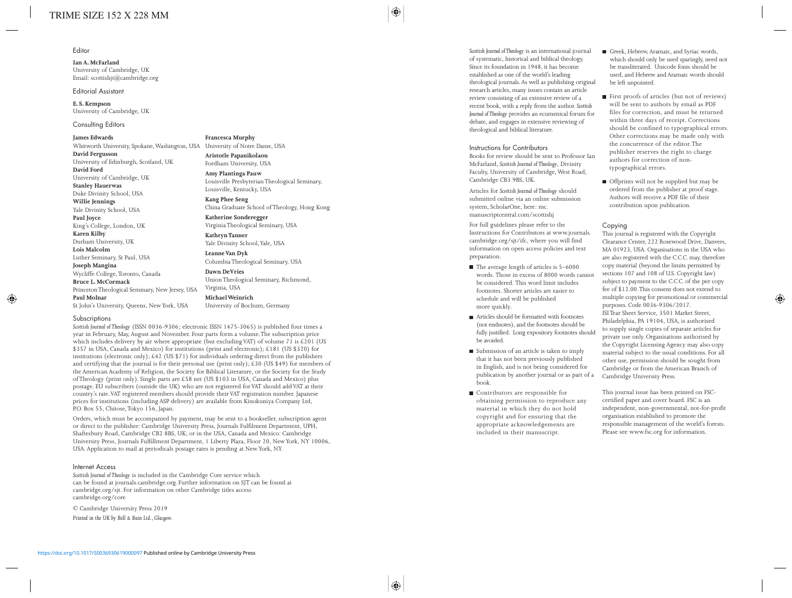#### Editor

**Ian A. McFarland** University of Cambridge, UK Email: scottishjt@cambridge.org

Editorial Assistant

**E. S. Kempson** University of Cambridge, UK

Consulting Editors

**James Edwards** Whitworth University, Spokane, Washington, USA University of Notre Dame, USA **David Fergusson** University of Edinburgh, Scotland, UK **David Ford** University of Cambridge, UK **Stanley Hauerwas** Duke Divinity School, USA **Willie Jennings** Yale Divinity School, USA **Paul Joyce** King's College, London, UK **Karen Kilby** Durham University, UK **Lois Malcolm** Luther Seminary, St Paul, USA **Joseph Mangina** Wycliffe College, Toronto, Canada **Bruce L. McCormack** Princeton Theological Seminary, New Jersey, USA **Paul Molnar** St John's University, Queens, New York, USA

**Francesca Murphy**

**Aristotle Papanikolaou** Fordham University, USA

**Amy Plantinga Pauw** Louisville Presbyterian Theological Seminary, Louisville, Kentucky, USA

**Kang Phee Seng** China Graduate School of Theology, Hong Kong

**Katherine Sonderegger** Virginia Theological Seminary, USA

**Kathryn Tanner** Yale Divinity School, Yale, USA

**Leanne Van Dyk** Columbia Theological Seminary, USA

**Dawn DeVries** Union Theological Seminary, Richmond, Virginia, USA

**Michael Weinrich** University of Bochum, Germany

#### Subscriptions

*Scottish Journal of Theology* (ISSN 0036-9306; electronic ISSN 1475-3065) is published four times a year in February, May, August and November. Four parts form a volume. The subscription price which includes delivery by air where appropriate (but excluding VAT) of volume 71 is £201 (US \$357 in USA, Canada and Mexico) for institutions (print and electronic); £181 (US \$320) for institutions (electronic only);  $\text{\pounds}42$  (US \$71) for individuals ordering direct from the publishers and certifying that the journal is for their personal use (print only);  $\text{\pounds}30$  (US \$49) for members of the American Academy of Religion, the Society for Biblical Literature, or the Society for the Study of Theology (print only). Single parts are £58 net (US \$103 in USA, Canada and Mexico) plus postage. EU subscribers (outside the UK) who are not registered for VAT should add VAT at their country's rate. VAT registered members should provide their VAT registration number. Japanese prices for institutions (including ASP delivery) are available from Kinokuniya Company Ltd, P.O. Box 55, Chitose, Tokyo 156, Japan.

Orders, which must be accompanied by payment, may be sent to a bookseller, subscription agent or direct to the publisher: Cambridge University Press, Journals Fulfilment Department, UPH, Shaftesbury Road, Cambridge CB2 8BS, UK; or in the USA, Canada and Mexico: Cambridge University Press, Journals Fulfillment Department, 1 Liberty Plaza, Floor 20, New York, NY 10006, USA. Application to mail at periodicals postage rates is pending at New York, NY.

#### Internet Access

*Scottish Journal of Theology* is included in the Cambridge Core service which can be found at journals.cambridge.org. Further information on SJT can be found at cambridge.org/sjt. For information on other Cambridge titles access cambridge.org/core

© Cambridge University Press 2019

*Printed in the UK by Bell & Bain Ltd., Glasgow.*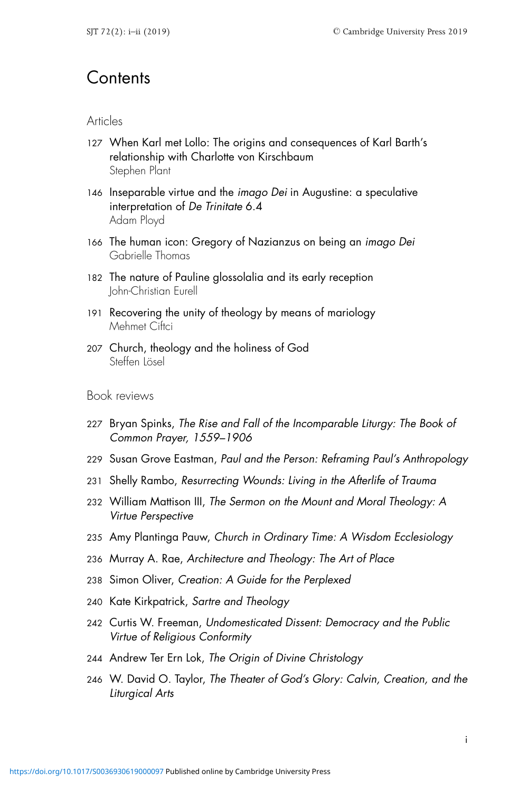# **Contents**

### Articles

- 127 When Karl met Lollo: The origins and consequences of Karl Barth's relationship with Charlotte von Kirschbaum Stephen Plant
- 146 Inseparable virtue and the imago Dei in Augustine: a speculative interpretation of De Trinitate 6.4 Adam Ployd
- 166 The human icon: Gregory of Nazianzus on being an imago Dei Gabrielle Thomas
- 182 The nature of Pauline glossolalia and its early reception John-Christian Eurell
- 191 Recovering the unity of theology by means of mariology Mehmet Ciftci
- 207 Church, theology and the holiness of God Steffen Lösel

## Book reviews

- 227 Bryan Spinks, The Rise and Fall of the Incomparable Liturgy: The Book of Common Prayer, 1559–1906
- 229 Susan Grove Eastman, Paul and the Person: Reframing Paul's Anthropology
- 231 Shelly Rambo, Resurrecting Wounds: Living in the Afterlife of Trauma
- 232 William Mattison III, The Sermon on the Mount and Moral Theology: A Virtue Perspective
- 235 Amy Plantinga Pauw, Church in Ordinary Time: A Wisdom Ecclesiology
- 236 Murray A. Rae, Architecture and Theology: The Art of Place
- 238 Simon Oliver, Creation: A Guide for the Perplexed
- 240 Kate Kirkpatrick, Sartre and Theology
- 242 Curtis W. Freeman, Undomesticated Dissent: Democracy and the Public Virtue of Religious Conformity
- 244 Andrew Ter Ern Lok, The Origin of Divine Christology
- 246 W. David O. Taylor, The Theater of God's Glory: Calvin, Creation, and the Liturgical Arts